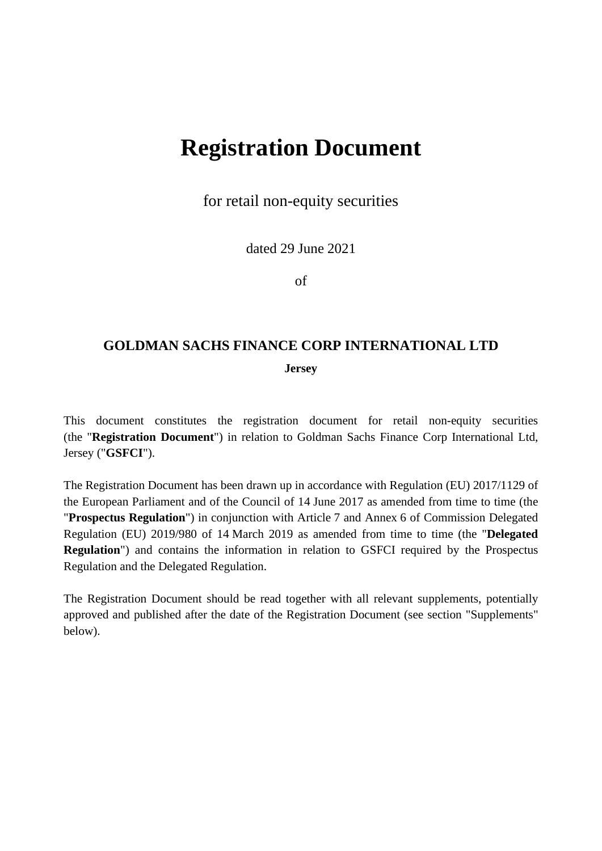# **Registration Document**

for retail non-equity securities

dated 29 June 2021

of

# **GOLDMAN SACHS FINANCE CORP INTERNATIONAL LTD**

**Jersey** 

This document constitutes the registration document for retail non-equity securities (the "**Registration Document**") in relation to Goldman Sachs Finance Corp International Ltd, Jersey ("**GSFCI**").

The Registration Document has been drawn up in accordance with Regulation (EU) 2017/1129 of the European Parliament and of the Council of 14 June 2017 as amended from time to time (the "**Prospectus Regulation**") in conjunction with Article 7 and Annex 6 of Commission Delegated Regulation (EU) 2019/980 of 14 March 2019 as amended from time to time (the "**Delegated Regulation**") and contains the information in relation to GSFCI required by the Prospectus Regulation and the Delegated Regulation.

The Registration Document should be read together with all relevant supplements, potentially approved and published after the date of the Registration Document (see section "Supplements" below).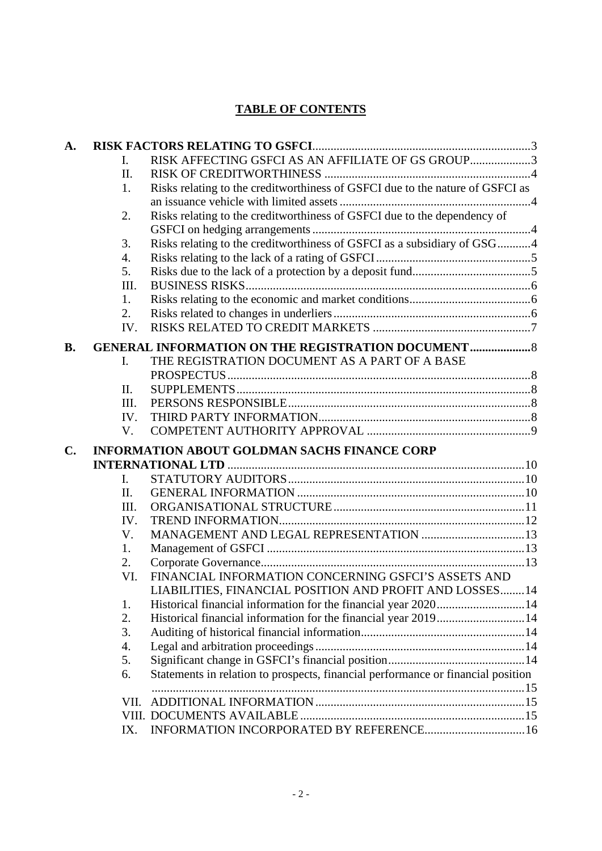# **TABLE OF CONTENTS**

| A.                                                  |      |                                                                                  |  |
|-----------------------------------------------------|------|----------------------------------------------------------------------------------|--|
|                                                     | L.   | RISK AFFECTING GSFCI AS AN AFFILIATE OF GS GROUP3                                |  |
|                                                     | Π.   |                                                                                  |  |
|                                                     | 1.   | Risks relating to the creditworthiness of GSFCI due to the nature of GSFCI as    |  |
|                                                     |      |                                                                                  |  |
|                                                     | 2.   | Risks relating to the creditworthiness of GSFCI due to the dependency of         |  |
|                                                     |      |                                                                                  |  |
|                                                     | 3.   | Risks relating to the creditworthiness of GSFCI as a subsidiary of GSG4          |  |
|                                                     | 4.   |                                                                                  |  |
|                                                     | 5.   |                                                                                  |  |
|                                                     | III. |                                                                                  |  |
|                                                     | 1.   |                                                                                  |  |
|                                                     | 2.   |                                                                                  |  |
|                                                     | IV.  |                                                                                  |  |
| <b>B.</b>                                           |      | <b>GENERAL INFORMATION ON THE REGISTRATION DOCUMENT </b> 8                       |  |
| THE REGISTRATION DOCUMENT AS A PART OF A BASE<br>I. |      |                                                                                  |  |
|                                                     |      |                                                                                  |  |
|                                                     | П.   |                                                                                  |  |
|                                                     | III. |                                                                                  |  |
|                                                     | IV.  |                                                                                  |  |
|                                                     | V.   |                                                                                  |  |
| $\mathbf{C}$ .                                      |      | <b>INFORMATION ABOUT GOLDMAN SACHS FINANCE CORP</b>                              |  |
|                                                     |      |                                                                                  |  |
|                                                     | I.   |                                                                                  |  |
|                                                     | Π.   |                                                                                  |  |
|                                                     | III. |                                                                                  |  |
|                                                     | IV.  |                                                                                  |  |
|                                                     | V.   |                                                                                  |  |
|                                                     | 1.   |                                                                                  |  |
|                                                     | 2.   |                                                                                  |  |
|                                                     | VI.  | FINANCIAL INFORMATION CONCERNING GSFCI'S ASSETS AND                              |  |
|                                                     |      | LIABILITIES, FINANCIAL POSITION AND PROFIT AND LOSSES 14                         |  |
|                                                     | 1.   |                                                                                  |  |
|                                                     | 2.   | Historical financial information for the financial year 201914                   |  |
|                                                     | 3.   |                                                                                  |  |
|                                                     | 4.   |                                                                                  |  |
|                                                     | 5.   |                                                                                  |  |
|                                                     | 6.   | Statements in relation to prospects, financial performance or financial position |  |
|                                                     |      |                                                                                  |  |
|                                                     | VII. |                                                                                  |  |
|                                                     |      |                                                                                  |  |
|                                                     | IX.  |                                                                                  |  |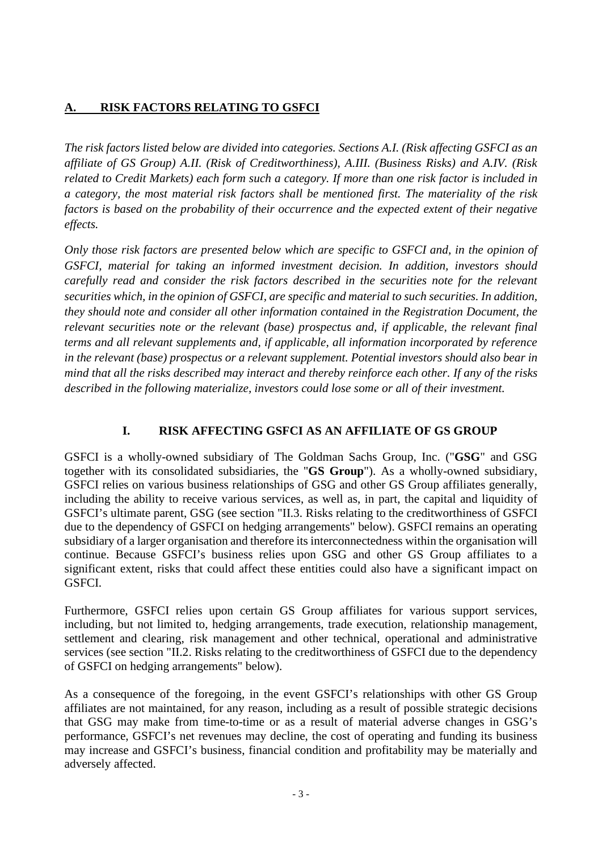# <span id="page-2-0"></span>**A. RISK FACTORS RELATING TO GSFCI**

*The risk factors listed below are divided into categories. Sections A.I. (Risk affecting GSFCI as an affiliate of GS Group) A.II. (Risk of Creditworthiness), A.III. (Business Risks) and A.IV. (Risk related to Credit Markets) each form such a category. If more than one risk factor is included in a category, the most material risk factors shall be mentioned first. The materiality of the risk factors is based on the probability of their occurrence and the expected extent of their negative effects.* 

*Only those risk factors are presented below which are specific to GSFCI and, in the opinion of GSFCI, material for taking an informed investment decision. In addition, investors should carefully read and consider the risk factors described in the securities note for the relevant securities which, in the opinion of GSFCI, are specific and material to such securities. In addition, they should note and consider all other information contained in the Registration Document, the relevant securities note or the relevant (base) prospectus and, if applicable, the relevant final terms and all relevant supplements and, if applicable, all information incorporated by reference in the relevant (base) prospectus or a relevant supplement. Potential investors should also bear in mind that all the risks described may interact and thereby reinforce each other. If any of the risks described in the following materialize, investors could lose some or all of their investment.* 

# <span id="page-2-1"></span>**I. RISK AFFECTING GSFCI AS AN AFFILIATE OF GS GROUP**

GSFCI is a wholly-owned subsidiary of The Goldman Sachs Group, Inc. ("**GSG**" and GSG together with its consolidated subsidiaries, the "**GS Group**"). As a wholly-owned subsidiary, GSFCI relies on various business relationships of GSG and other GS Group affiliates generally, including the ability to receive various services, as well as, in part, the capital and liquidity of GSFCI's ultimate parent, GSG (see section "II.3. Risks relating to the creditworthiness of GSFCI due to the dependency of GSFCI on hedging arrangements" below). GSFCI remains an operating subsidiary of a larger organisation and therefore its interconnectedness within the organisation will continue. Because GSFCI's business relies upon GSG and other GS Group affiliates to a significant extent, risks that could affect these entities could also have a significant impact on GSFCI.

Furthermore, GSFCI relies upon certain GS Group affiliates for various support services, including, but not limited to, hedging arrangements, trade execution, relationship management, settlement and clearing, risk management and other technical, operational and administrative services (see section "II.2. Risks relating to the creditworthiness of GSFCI due to the dependency of GSFCI on hedging arrangements" below).

As a consequence of the foregoing, in the event GSFCI's relationships with other GS Group affiliates are not maintained, for any reason, including as a result of possible strategic decisions that GSG may make from time-to-time or as a result of material adverse changes in GSG's performance, GSFCI's net revenues may decline, the cost of operating and funding its business may increase and GSFCI's business, financial condition and profitability may be materially and adversely affected.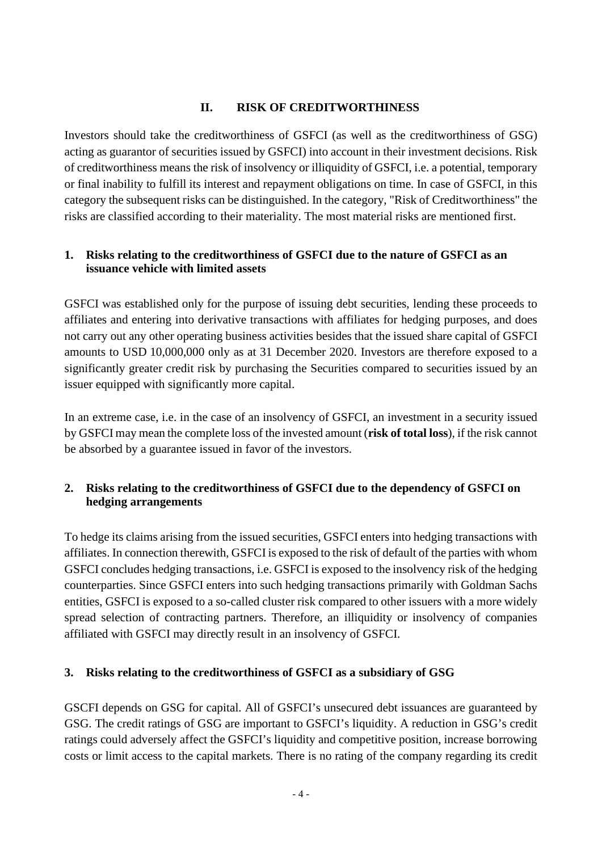## <span id="page-3-1"></span>**II. RISK OF CREDITWORTHINESS**

<span id="page-3-0"></span>Investors should take the creditworthiness of GSFCI (as well as the creditworthiness of GSG) acting as guarantor of securities issued by GSFCI) into account in their investment decisions. Risk of creditworthiness means the risk of insolvency or illiquidity of GSFCI, i.e. a potential, temporary or final inability to fulfill its interest and repayment obligations on time. In case of GSFCI, in this category the subsequent risks can be distinguished. In the category, "Risk of Creditworthiness" the risks are classified according to their materiality. The most material risks are mentioned first.

#### <span id="page-3-2"></span>**1. Risks relating to the creditworthiness of GSFCI due to the nature of GSFCI as an issuance vehicle with limited assets**

GSFCI was established only for the purpose of issuing debt securities, lending these proceeds to affiliates and entering into derivative transactions with affiliates for hedging purposes, and does not carry out any other operating business activities besides that the issued share capital of GSFCI amounts to USD 10,000,000 only as at 31 December 2020. Investors are therefore exposed to a significantly greater credit risk by purchasing the Securities compared to securities issued by an issuer equipped with significantly more capital.

In an extreme case, i.e. in the case of an insolvency of GSFCI, an investment in a security issued by GSFCI may mean the complete loss of the invested amount (**risk of total loss**), if the risk cannot be absorbed by a guarantee issued in favor of the investors.

# <span id="page-3-3"></span>**2. Risks relating to the creditworthiness of GSFCI due to the dependency of GSFCI on hedging arrangements**

To hedge its claims arising from the issued securities, GSFCI enters into hedging transactions with affiliates. In connection therewith, GSFCI is exposed to the risk of default of the parties with whom GSFCI concludes hedging transactions, i.e. GSFCI is exposed to the insolvency risk of the hedging counterparties. Since GSFCI enters into such hedging transactions primarily with Goldman Sachs entities, GSFCI is exposed to a so-called cluster risk compared to other issuers with a more widely spread selection of contracting partners. Therefore, an illiquidity or insolvency of companies affiliated with GSFCI may directly result in an insolvency of GSFCI.

# <span id="page-3-4"></span>**3. Risks relating to the creditworthiness of GSFCI as a subsidiary of GSG**

GSCFI depends on GSG for capital. All of GSFCI's unsecured debt issuances are guaranteed by GSG. The credit ratings of GSG are important to GSFCI's liquidity. A reduction in GSG's credit ratings could adversely affect the GSFCI's liquidity and competitive position, increase borrowing costs or limit access to the capital markets. There is no rating of the company regarding its credit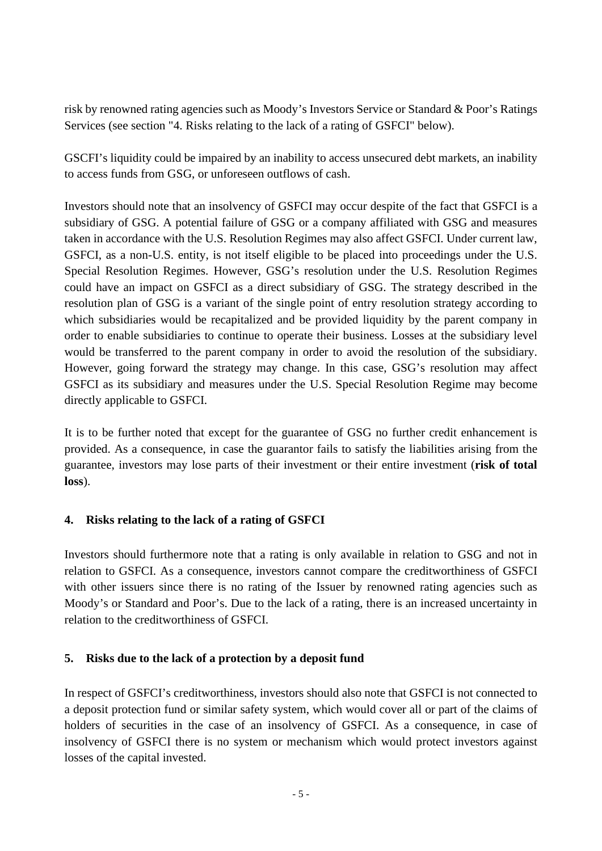risk by renowned rating agencies such as Moody's Investors Service or Standard & Poor's Ratings Services (see section "4. Risks relating to the lack of a rating of GSFCI" below).

GSCFI's liquidity could be impaired by an inability to access unsecured debt markets, an inability to access funds from GSG, or unforeseen outflows of cash.

Investors should note that an insolvency of GSFCI may occur despite of the fact that GSFCI is a subsidiary of GSG. A potential failure of GSG or a company affiliated with GSG and measures taken in accordance with the U.S. Resolution Regimes may also affect GSFCI. Under current law, GSFCI, as a non-U.S. entity, is not itself eligible to be placed into proceedings under the U.S. Special Resolution Regimes. However, GSG's resolution under the U.S. Resolution Regimes could have an impact on GSFCI as a direct subsidiary of GSG. The strategy described in the resolution plan of GSG is a variant of the single point of entry resolution strategy according to which subsidiaries would be recapitalized and be provided liquidity by the parent company in order to enable subsidiaries to continue to operate their business. Losses at the subsidiary level would be transferred to the parent company in order to avoid the resolution of the subsidiary. However, going forward the strategy may change. In this case, GSG's resolution may affect GSFCI as its subsidiary and measures under the U.S. Special Resolution Regime may become directly applicable to GSFCI.

It is to be further noted that except for the guarantee of GSG no further credit enhancement is provided. As a consequence, in case the guarantor fails to satisfy the liabilities arising from the guarantee, investors may lose parts of their investment or their entire investment (**risk of total loss**).

# <span id="page-4-0"></span>**4. Risks relating to the lack of a rating of GSFCI**

Investors should furthermore note that a rating is only available in relation to GSG and not in relation to GSFCI. As a consequence, investors cannot compare the creditworthiness of GSFCI with other issuers since there is no rating of the Issuer by renowned rating agencies such as Moody's or Standard and Poor's. Due to the lack of a rating, there is an increased uncertainty in relation to the creditworthiness of GSFCI.

# <span id="page-4-1"></span>**5. Risks due to the lack of a protection by a deposit fund**

In respect of GSFCI's creditworthiness, investors should also note that GSFCI is not connected to a deposit protection fund or similar safety system, which would cover all or part of the claims of holders of securities in the case of an insolvency of GSFCI. As a consequence, in case of insolvency of GSFCI there is no system or mechanism which would protect investors against losses of the capital invested.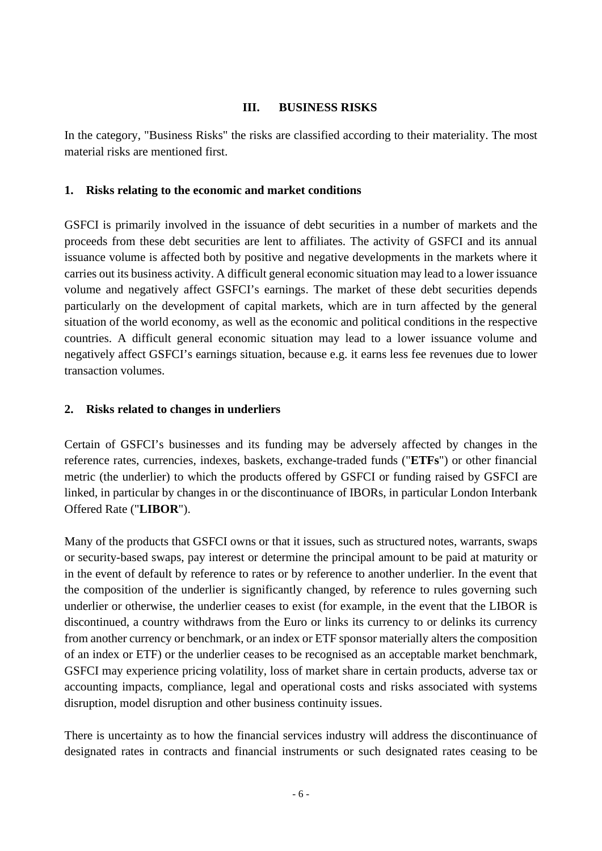#### **III. BUSINESS RISKS**

<span id="page-5-0"></span>In the category, "Business Risks" the risks are classified according to their materiality. The most material risks are mentioned first.

#### <span id="page-5-1"></span>**1. Risks relating to the economic and market conditions**

GSFCI is primarily involved in the issuance of debt securities in a number of markets and the proceeds from these debt securities are lent to affiliates. The activity of GSFCI and its annual issuance volume is affected both by positive and negative developments in the markets where it carries out its business activity. A difficult general economic situation may lead to a lower issuance volume and negatively affect GSFCI's earnings. The market of these debt securities depends particularly on the development of capital markets, which are in turn affected by the general situation of the world economy, as well as the economic and political conditions in the respective countries. A difficult general economic situation may lead to a lower issuance volume and negatively affect GSFCI's earnings situation, because e.g. it earns less fee revenues due to lower transaction volumes.

# <span id="page-5-2"></span>**2. Risks related to changes in underliers**

Certain of GSFCI's businesses and its funding may be adversely affected by changes in the reference rates, currencies, indexes, baskets, exchange-traded funds ("**ETFs**") or other financial metric (the underlier) to which the products offered by GSFCI or funding raised by GSFCI are linked, in particular by changes in or the discontinuance of IBORs, in particular London Interbank Offered Rate ("**LIBOR**").

Many of the products that GSFCI owns or that it issues, such as structured notes, warrants, swaps or security-based swaps, pay interest or determine the principal amount to be paid at maturity or in the event of default by reference to rates or by reference to another underlier. In the event that the composition of the underlier is significantly changed, by reference to rules governing such underlier or otherwise, the underlier ceases to exist (for example, in the event that the LIBOR is discontinued, a country withdraws from the Euro or links its currency to or delinks its currency from another currency or benchmark, or an index or ETF sponsor materially alters the composition of an index or ETF) or the underlier ceases to be recognised as an acceptable market benchmark, GSFCI may experience pricing volatility, loss of market share in certain products, adverse tax or accounting impacts, compliance, legal and operational costs and risks associated with systems disruption, model disruption and other business continuity issues.

There is uncertainty as to how the financial services industry will address the discontinuance of designated rates in contracts and financial instruments or such designated rates ceasing to be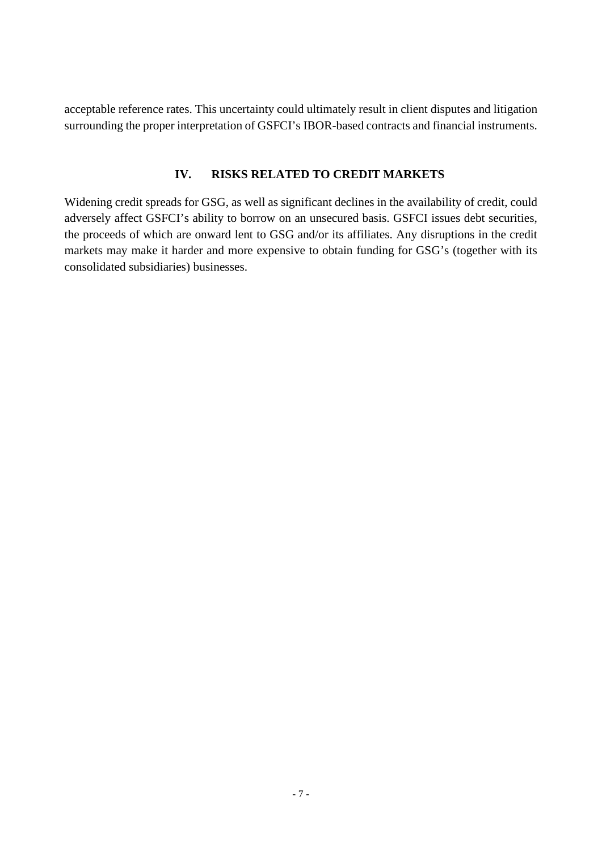acceptable reference rates. This uncertainty could ultimately result in client disputes and litigation surrounding the proper interpretation of GSFCI's IBOR-based contracts and financial instruments.

#### **IV. RISKS RELATED TO CREDIT MARKETS**

<span id="page-6-0"></span>Widening credit spreads for GSG, as well as significant declines in the availability of credit, could adversely affect GSFCI's ability to borrow on an unsecured basis. GSFCI issues debt securities, the proceeds of which are onward lent to GSG and/or its affiliates. Any disruptions in the credit markets may make it harder and more expensive to obtain funding for GSG's (together with its consolidated subsidiaries) businesses.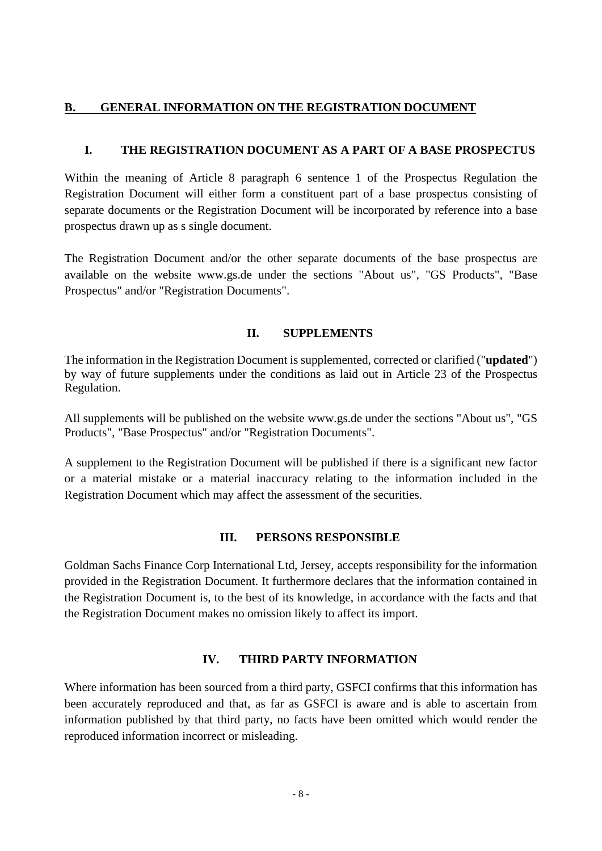#### <span id="page-7-0"></span>**B. GENERAL INFORMATION ON THE REGISTRATION DOCUMENT**

#### <span id="page-7-1"></span>**I. THE REGISTRATION DOCUMENT AS A PART OF A BASE PROSPECTUS**

Within the meaning of Article 8 paragraph 6 sentence 1 of the Prospectus Regulation the Registration Document will either form a constituent part of a base prospectus consisting of separate documents or the Registration Document will be incorporated by reference into a base prospectus drawn up as s single document.

The Registration Document and/or the other separate documents of the base prospectus are available on the website www.gs.de under the sections "About us", "GS Products", "Base Prospectus" and/or "Registration Documents".

#### **II. SUPPLEMENTS**

<span id="page-7-2"></span>The information in the Registration Document is supplemented, corrected or clarified ("**updated**") by way of future supplements under the conditions as laid out in Article 23 of the Prospectus Regulation.

All supplements will be published on the website www.gs.de under the sections "About us", "GS Products", "Base Prospectus" and/or "Registration Documents".

A supplement to the Registration Document will be published if there is a significant new factor or a material mistake or a material inaccuracy relating to the information included in the Registration Document which may affect the assessment of the securities.

#### **III. PERSONS RESPONSIBLE**

<span id="page-7-3"></span>Goldman Sachs Finance Corp International Ltd, Jersey, accepts responsibility for the information provided in the Registration Document. It furthermore declares that the information contained in the Registration Document is, to the best of its knowledge, in accordance with the facts and that the Registration Document makes no omission likely to affect its import.

#### **IV. THIRD PARTY INFORMATION**

<span id="page-7-4"></span>Where information has been sourced from a third party, GSFCI confirms that this information has been accurately reproduced and that, as far as GSFCI is aware and is able to ascertain from information published by that third party, no facts have been omitted which would render the reproduced information incorrect or misleading.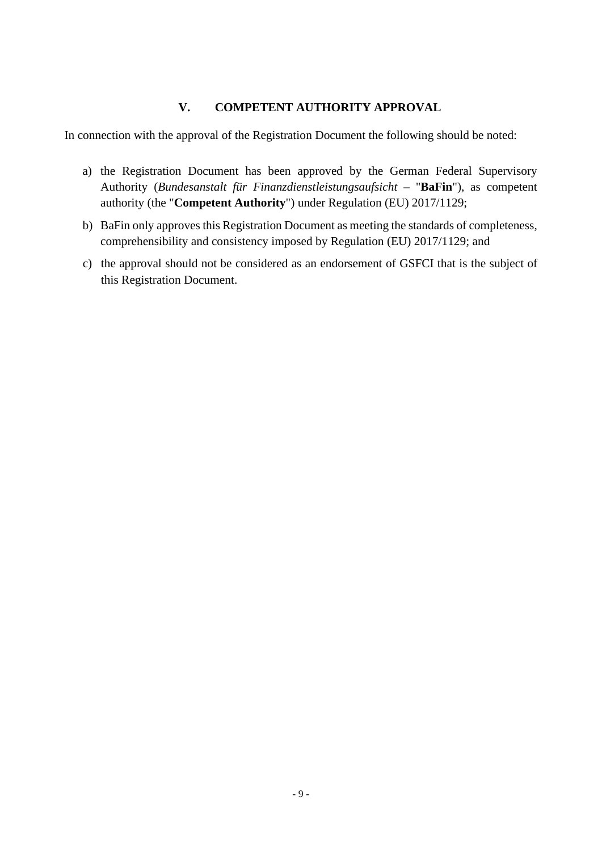#### **V. COMPETENT AUTHORITY APPROVAL**

<span id="page-8-0"></span>In connection with the approval of the Registration Document the following should be noted:

- a) the Registration Document has been approved by the German Federal Supervisory Authority (*Bundesanstalt für Finanzdienstleistungsaufsicht –* "**BaFin**"), as competent authority (the "**Competent Authority**") under Regulation (EU) 2017/1129;
- b) BaFin only approves this Registration Document as meeting the standards of completeness, comprehensibility and consistency imposed by Regulation (EU) 2017/1129; and
- c) the approval should not be considered as an endorsement of GSFCI that is the subject of this Registration Document.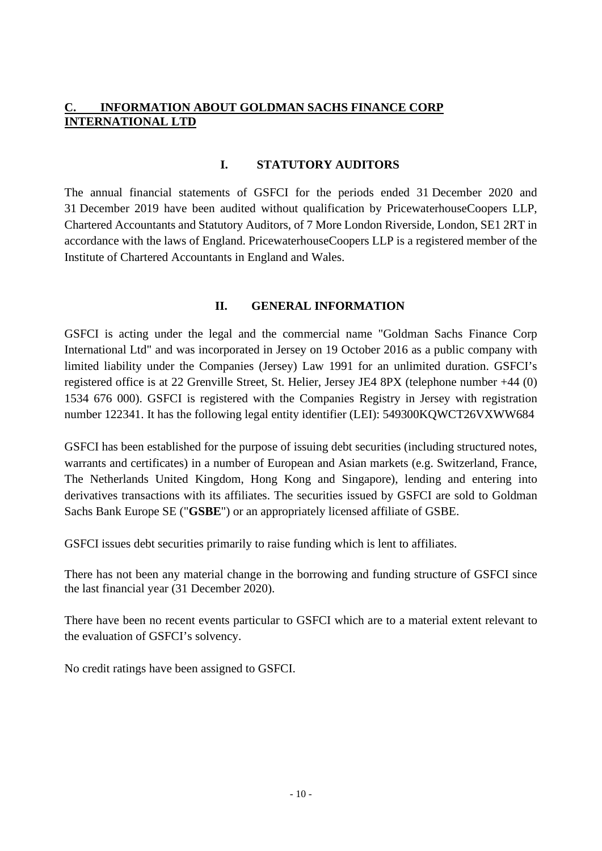# <span id="page-9-0"></span>**INFORMATION ABOUT GOLDMAN SACHS FINANCE CORP INTERNATIONAL LTD**

#### **I. STATUTORY AUDITORS**

<span id="page-9-1"></span>The annual financial statements of GSFCI for the periods ended 31 December 2020 and 31 December 2019 have been audited without qualification by PricewaterhouseCoopers LLP, Chartered Accountants and Statutory Auditors, of 7 More London Riverside, London, SE1 2RT in accordance with the laws of England. PricewaterhouseCoopers LLP is a registered member of the Institute of Chartered Accountants in England and Wales.

#### **II. GENERAL INFORMATION**

<span id="page-9-2"></span>GSFCI is acting under the legal and the commercial name "Goldman Sachs Finance Corp International Ltd" and was incorporated in Jersey on 19 October 2016 as a public company with limited liability under the Companies (Jersey) Law 1991 for an unlimited duration. GSFCI's registered office is at 22 Grenville Street, St. Helier, Jersey JE4 8PX (telephone number +44 (0) 1534 676 000). GSFCI is registered with the Companies Registry in Jersey with registration number 122341. It has the following legal entity identifier (LEI): 549300KQWCT26VXWW684

GSFCI has been established for the purpose of issuing debt securities (including structured notes, warrants and certificates) in a number of European and Asian markets (e.g. Switzerland, France, The Netherlands United Kingdom, Hong Kong and Singapore), lending and entering into derivatives transactions with its affiliates. The securities issued by GSFCI are sold to Goldman Sachs Bank Europe SE ("**GSBE**") or an appropriately licensed affiliate of GSBE.

GSFCI issues debt securities primarily to raise funding which is lent to affiliates.

There has not been any material change in the borrowing and funding structure of GSFCI since the last financial year (31 December 2020).

There have been no recent events particular to GSFCI which are to a material extent relevant to the evaluation of GSFCI's solvency.

No credit ratings have been assigned to GSFCI.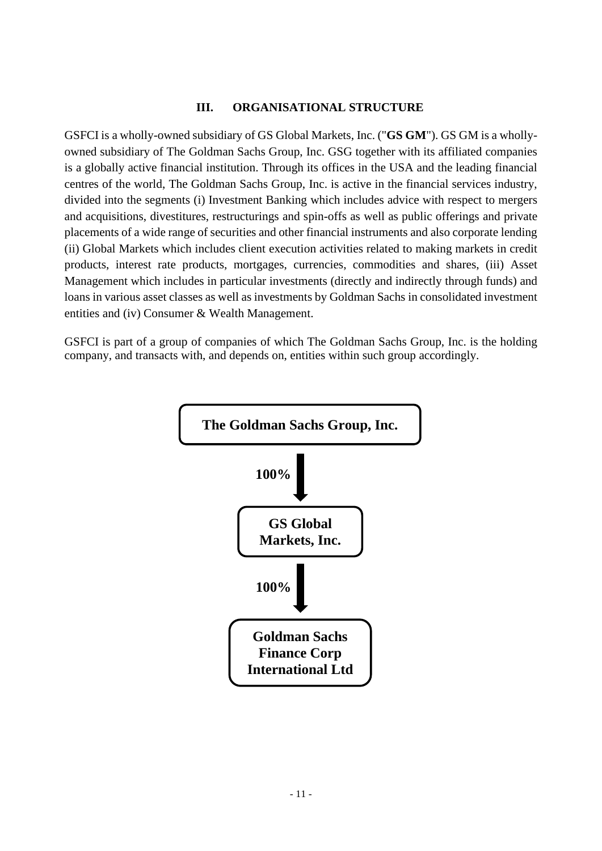#### **III. ORGANISATIONAL STRUCTURE**

<span id="page-10-0"></span>GSFCI is a wholly-owned subsidiary of GS Global Markets, Inc. ("**GS GM**"). GS GM is a whollyowned subsidiary of The Goldman Sachs Group, Inc. GSG together with its affiliated companies is a globally active financial institution. Through its offices in the USA and the leading financial centres of the world, The Goldman Sachs Group, Inc. is active in the financial services industry, divided into the segments (i) Investment Banking which includes advice with respect to mergers and acquisitions, divestitures, restructurings and spin-offs as well as public offerings and private placements of a wide range of securities and other financial instruments and also corporate lending (ii) Global Markets which includes client execution activities related to making markets in credit products, interest rate products, mortgages, currencies, commodities and shares, (iii) Asset Management which includes in particular investments (directly and indirectly through funds) and loans in various asset classes as well as investments by Goldman Sachs in consolidated investment entities and (iv) Consumer & Wealth Management.

GSFCI is part of a group of companies of which The Goldman Sachs Group, Inc. is the holding company, and transacts with, and depends on, entities within such group accordingly.

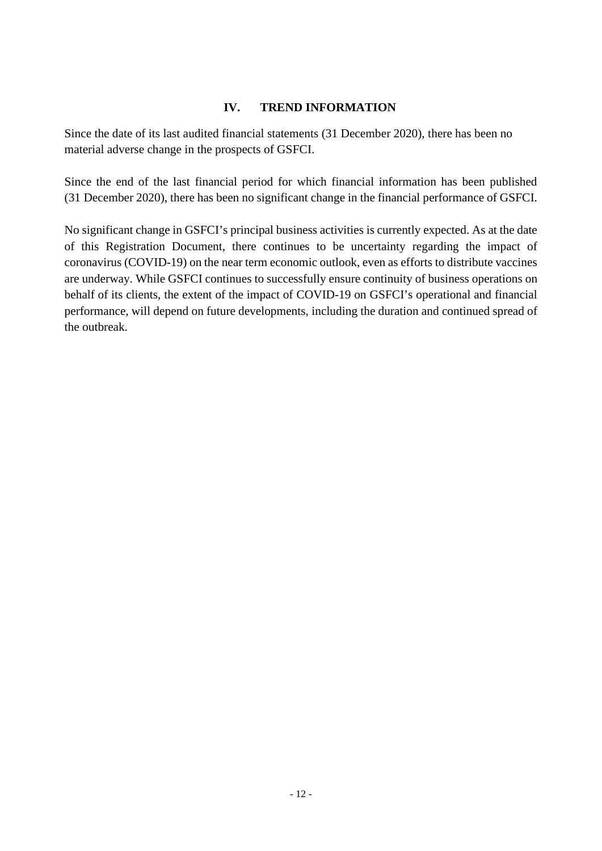#### **IV. TREND INFORMATION**

<span id="page-11-0"></span>Since the date of its last audited financial statements (31 December 2020), there has been no material adverse change in the prospects of GSFCI.

Since the end of the last financial period for which financial information has been published (31 December 2020), there has been no significant change in the financial performance of GSFCI.

No significant change in GSFCI's principal business activities is currently expected. As at the date of this Registration Document, there continues to be uncertainty regarding the impact of coronavirus (COVID-19) on the near term economic outlook, even as efforts to distribute vaccines are underway. While GSFCI continues to successfully ensure continuity of business operations on behalf of its clients, the extent of the impact of COVID-19 on GSFCI's operational and financial performance, will depend on future developments, including the duration and continued spread of the outbreak.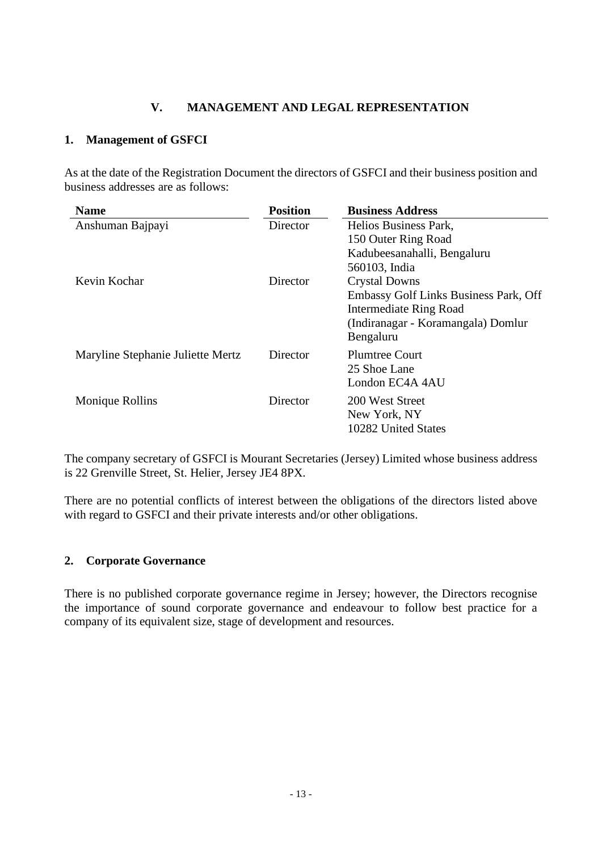# <span id="page-12-0"></span>**V. MANAGEMENT AND LEGAL REPRESENTATION**

## <span id="page-12-1"></span>**1. Management of GSFCI**

As at the date of the Registration Document the directors of GSFCI and their business position and business addresses are as follows:

| <b>Name</b>                       | <b>Position</b> | <b>Business Address</b>               |  |
|-----------------------------------|-----------------|---------------------------------------|--|
| Anshuman Bajpayi                  | Director        | Helios Business Park,                 |  |
|                                   |                 | 150 Outer Ring Road                   |  |
|                                   |                 | Kadubeesanahalli, Bengaluru           |  |
|                                   |                 | 560103, India                         |  |
| Kevin Kochar                      | Director        | <b>Crystal Downs</b>                  |  |
|                                   |                 | Embassy Golf Links Business Park, Off |  |
|                                   |                 | Intermediate Ring Road                |  |
|                                   |                 | (Indiranagar - Koramangala) Domlur    |  |
|                                   |                 | Bengaluru                             |  |
| Maryline Stephanie Juliette Mertz | Director        | <b>Plumtree Court</b>                 |  |
|                                   |                 | 25 Shoe Lane                          |  |
|                                   |                 | London EC4A 4AU                       |  |
| Monique Rollins                   | Director        | 200 West Street                       |  |
|                                   |                 | New York, NY                          |  |
|                                   |                 | 10282 United States                   |  |

The company secretary of GSFCI is Mourant Secretaries (Jersey) Limited whose business address is 22 Grenville Street, St. Helier, Jersey JE4 8PX.

There are no potential conflicts of interest between the obligations of the directors listed above with regard to GSFCI and their private interests and/or other obligations.

#### <span id="page-12-2"></span>**2. Corporate Governance**

There is no published corporate governance regime in Jersey; however, the Directors recognise the importance of sound corporate governance and endeavour to follow best practice for a company of its equivalent size, stage of development and resources.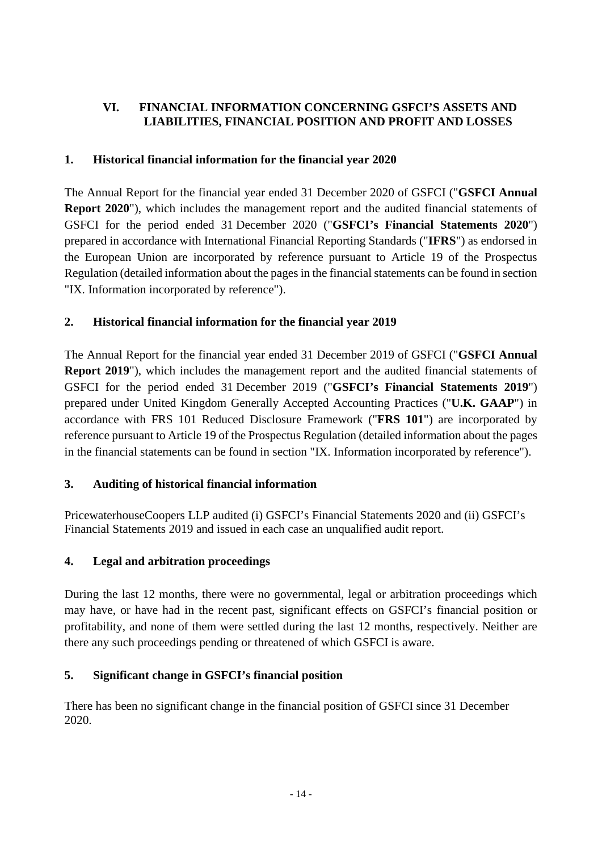# <span id="page-13-0"></span>**VI. FINANCIAL INFORMATION CONCERNING GSFCI'S ASSETS AND LIABILITIES, FINANCIAL POSITION AND PROFIT AND LOSSES**

# <span id="page-13-1"></span>**1. Historical financial information for the financial year 2020**

The Annual Report for the financial year ended 31 December 2020 of GSFCI ("**GSFCI Annual Report 2020**"), which includes the management report and the audited financial statements of GSFCI for the period ended 31 December 2020 ("**GSFCI's Financial Statements 2020**") prepared in accordance with International Financial Reporting Standards ("**IFRS**") as endorsed in the European Union are incorporated by reference pursuant to Article 19 of the Prospectus Regulation (detailed information about the pages in the financial statements can be found in section "IX. Information incorporated by reference").

# <span id="page-13-2"></span>**2. Historical financial information for the financial year 2019**

The Annual Report for the financial year ended 31 December 2019 of GSFCI ("**GSFCI Annual Report 2019**"), which includes the management report and the audited financial statements of GSFCI for the period ended 31 December 2019 ("**GSFCI's Financial Statements 2019**") prepared under United Kingdom Generally Accepted Accounting Practices ("**U.K. GAAP**") in accordance with FRS 101 Reduced Disclosure Framework ("**FRS 101**") are incorporated by reference pursuant to Article 19 of the Prospectus Regulation (detailed information about the pages in the financial statements can be found in section "IX. Information incorporated by reference").

# <span id="page-13-3"></span>**3. Auditing of historical financial information**

PricewaterhouseCoopers LLP audited (i) GSFCI's Financial Statements 2020 and (ii) GSFCI's Financial Statements 2019 and issued in each case an unqualified audit report.

# <span id="page-13-4"></span>**4. Legal and arbitration proceedings**

During the last 12 months, there were no governmental, legal or arbitration proceedings which may have, or have had in the recent past, significant effects on GSFCI's financial position or profitability, and none of them were settled during the last 12 months, respectively. Neither are there any such proceedings pending or threatened of which GSFCI is aware.

# <span id="page-13-5"></span>**5. Significant change in GSFCI's financial position**

There has been no significant change in the financial position of GSFCI since 31 December 2020.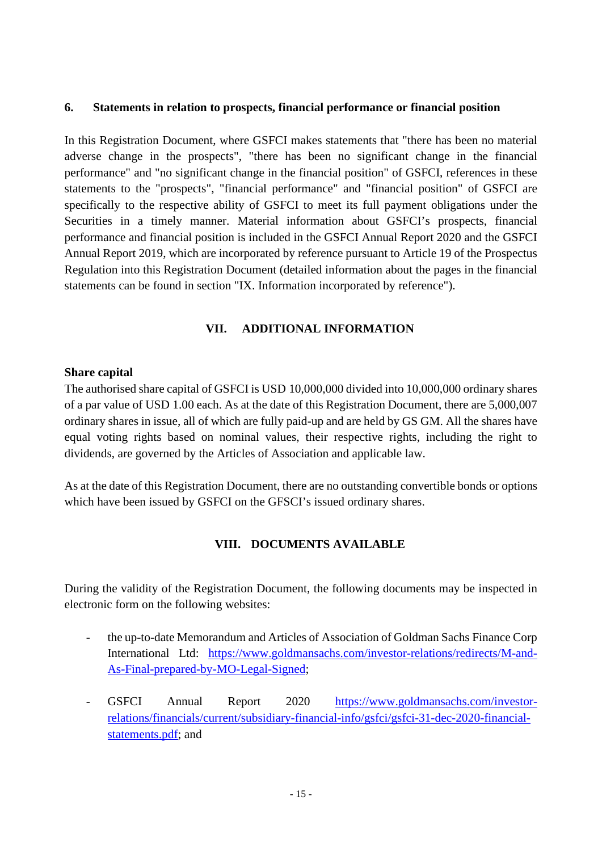#### <span id="page-14-0"></span>**6. Statements in relation to prospects, financial performance or financial position**

In this Registration Document, where GSFCI makes statements that "there has been no material adverse change in the prospects", "there has been no significant change in the financial performance" and "no significant change in the financial position" of GSFCI, references in these statements to the "prospects", "financial performance" and "financial position" of GSFCI are specifically to the respective ability of GSFCI to meet its full payment obligations under the Securities in a timely manner. Material information about GSFCI's prospects, financial performance and financial position is included in the GSFCI Annual Report 2020 and the GSFCI Annual Report 2019, which are incorporated by reference pursuant to Article 19 of the Prospectus Regulation into this Registration Document (detailed information about the pages in the financial statements can be found in section "IX. Information incorporated by reference").

#### **VII. ADDITIONAL INFORMATION**

#### <span id="page-14-1"></span>**Share capital**

The authorised share capital of GSFCI is USD 10,000,000 divided into 10,000,000 ordinary shares of a par value of USD 1.00 each. As at the date of this Registration Document, there are 5,000,007 ordinary shares in issue, all of which are fully paid-up and are held by GS GM. All the shares have equal voting rights based on nominal values, their respective rights, including the right to dividends, are governed by the Articles of Association and applicable law.

As at the date of this Registration Document, there are no outstanding convertible bonds or options which have been issued by GSFCI on the GFSCI's issued ordinary shares.

# **VIII. DOCUMENTS AVAILABLE**

<span id="page-14-2"></span>During the validity of the Registration Document, the following documents may be inspected in electronic form on the following websites:

- the up-to-date Memorandum and Articles of Association of Goldman Sachs Finance Corp International Ltd: [https://www.goldmansachs.com/investor-relations/redirects/M-and-](https://www.goldmansachs.com/investor-relations/redirects/M-and-As-Final-prepared-by-MO-Legal-Signed)[As-Final-prepared-by-MO-Legal-Signed;](https://www.goldmansachs.com/investor-relations/redirects/M-and-As-Final-prepared-by-MO-Legal-Signed)
- GSFCI Annual Report 2020 [https://www.goldmansachs.com/investor](https://www.goldmansachs.com/investor-relations/financials/current/subsidiary-financial-info/gsfci/gsfci-31-dec-2020-financial-statements.pdf)[relations/financials/current/subsidiary-financial-info/gsfci/gsfci-31-dec-2020-financial](https://www.goldmansachs.com/investor-relations/financials/current/subsidiary-financial-info/gsfci/gsfci-31-dec-2020-financial-statements.pdf)statements.pdf; and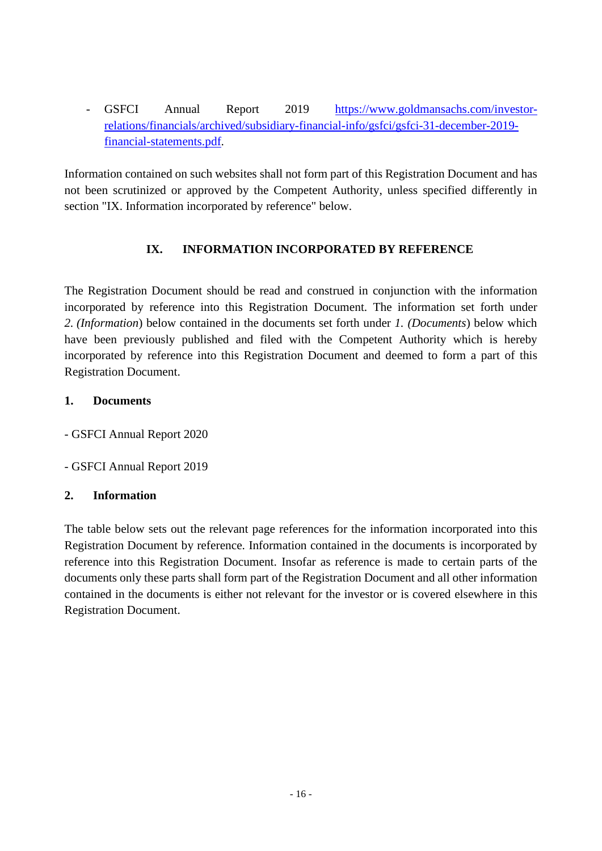- GSFCI Annual Report 2019 [https://www.goldmansachs.com/investor](https://www.goldmansachs.com/investor-relations/financials/archived/subsidiary-financial-info/gsfci/gsfci-31-december-2019-financial-statements.pdf)[relations/financials/archived/subsidiary-financial-info/gsfci/gsfci-31-december-2019](https://www.goldmansachs.com/investor-relations/financials/archived/subsidiary-financial-info/gsfci/gsfci-31-december-2019-financial-statements.pdf) [financial-statements.pdf.](https://www.goldmansachs.com/investor-relations/financials/archived/subsidiary-financial-info/gsfci/gsfci-31-december-2019-financial-statements.pdf) 

Information contained on such websites shall not form part of this Registration Document and has not been scrutinized or approved by the Competent Authority, unless specified differently in section "IX. Information incorporated by reference" below.

# <span id="page-15-0"></span>**IX. INFORMATION INCORPORATED BY REFERENCE**

The Registration Document should be read and construed in conjunction with the information incorporated by reference into this Registration Document. The information set forth under *2. (Information*) below contained in the documents set forth under *1. (Documents*) below which have been previously published and filed with the Competent Authority which is hereby incorporated by reference into this Registration Document and deemed to form a part of this Registration Document.

#### **1. Documents**

- GSFCI Annual Report 2020

- GSFCI Annual Report 2019

# **2. Information**

The table below sets out the relevant page references for the information incorporated into this Registration Document by reference. Information contained in the documents is incorporated by reference into this Registration Document. Insofar as reference is made to certain parts of the documents only these parts shall form part of the Registration Document and all other information contained in the documents is either not relevant for the investor or is covered elsewhere in this Registration Document.